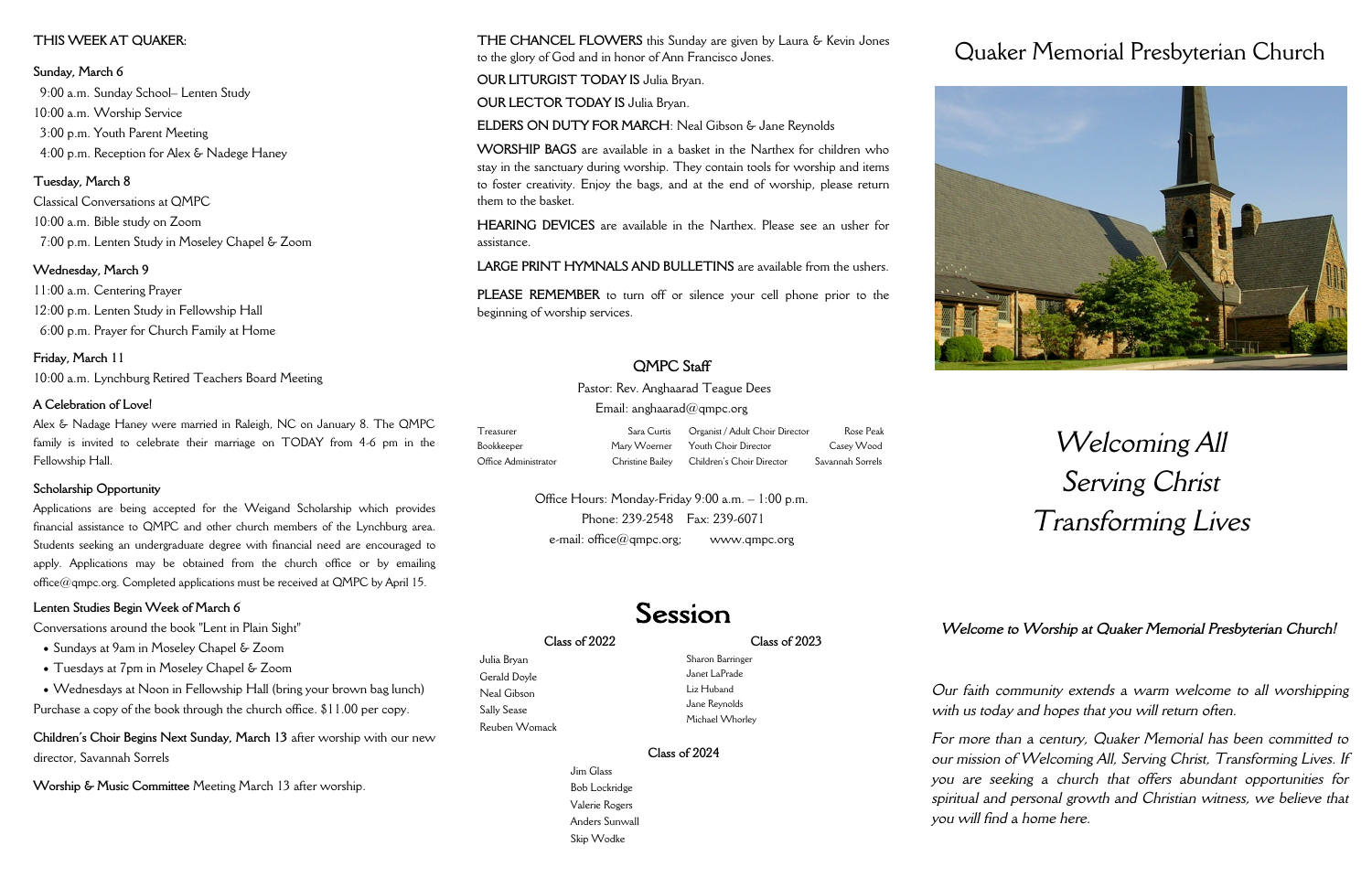### **Class of 2022**

Julia Bryan Gerald Doyle Neal Gibson Sally Sease Reuben Womack **Class of 2023**

Sharon Barringer Janet LaPrade Liz Huband Jane Reynolds Michael Whorley

### **Class of 2024**

Jim Glass Bob Lockridge Valerie Rogers Anders Sunwall Skip Wodke

# Quaker Memorial Presbyterian Church



## *Welcoming All Serving Christ Transforming Lives*

*Our faith community extends a warm welcome to all worshipping with us today and hopes that you will return often.*

*For more than a century, Quaker Memorial has been committed to our mission of Welcoming All, Serving Christ, Transforming Lives. If you are seeking a church that offers abundant opportunities for spiritual and personal growth and Christian witness, we believe that you will find a home here.* 



Pastor: Rev. Anghaarad Teague Dees Email: anghaarad $@$ qmpc.org

Office Hours: Monday-Friday 9:00 a.m. – 1:00 p.m. Phone: 239-2548 Fax: 239-6071  $e$ -mail: office $@$ qmpc.org; www.qmpc.org

## Session

**THE CHANCEL FLOWERS** this Sunday are given by Laura & Kevin Jones to the glory of God and in honor of Ann Francisco Jones.

**OUR LITURGIST TODAY IS** Julia Bryan.

**OUR LECTOR TODAY IS** Julia Bryan.

**ELDERS ON DUTY FOR MARCH**: Neal Gibson & Jane Reynolds

**WORSHIP BAGS** are available in a basket in the Narthex for children who stay in the sanctuary during worship. They contain tools for worship and items to foster creativity. Enjoy the bags, and at the end of worship, please return them to the basket.

**HEARING DEVICES** are available in the Narthex. Please see an usher for assistance.

**LARGE PRINT HYMNALS AND BULLETINS** are available from the ushers.

**PLEASE REMEMBER** to turn off or silence your cell phone prior to the beginning of worship services.

## **QMPC Staff**

- Sundays at 9am in Moseley Chapel & Zoom
- Tuesdays at 7pm in Moseley Chapel & Zoom
- Wednesdays at Noon in Fellowship Hall (bring your brown bag lunch)

| Treasurer            | Sara Curtis Organist / Adult Choir Director | Rose Peak        |
|----------------------|---------------------------------------------|------------------|
| Bookkeeper           | Mary Woerner Youth Choir Director           | Casey Wood       |
| Office Administrator | Christine Bailey Children's Choir Director  | Savannah Sorrels |

### **THIS WEEK AT QUAKER:**

### **Sunday, March 6**

 9:00 a.m. Sunday School– Lenten Study 10:00 a.m. Worship Service 3:00 p.m. Youth Parent Meeting 4:00 p.m. Reception for Alex & Nadege Haney

### **Tuesday, March 8**

Classical Conversations at QMPC 10:00 a.m. Bible study on Zoom 7:00 p.m. Lenten Study in Moseley Chapel & Zoom

### **Wednesday, March 9**

11:00 a.m. Centering Prayer 12:00 p.m. Lenten Study in Fellowship Hall 6:00 p.m. Prayer for Church Family at Home

## **Friday, March 11**

10:00 a.m. Lynchburg Retired Teachers Board Meeting

### **A Celebration of Love!**

Alex & Nadage Haney were married in Raleigh, NC on January 8. The QMPC family is invited to celebrate their marriage on TODAY from 4-6 pm in the Fellowship Hall.

### **Scholarship Opportunity**

Applications are being accepted for the Weigand Scholarship which provides financial assistance to QMPC and other church members of the Lynchburg area. Students seeking an undergraduate degree with financial need are encouraged to apply. Applications may be obtained from the church office or by emailing office@qmpc.org. Completed applications must be received at QMPC by April 15.

### **Lenten Studies Begin Week of March 6**

Conversations around the book "Lent in Plain Sight"

Purchase a copy of the book through the church office. \$11.00 per copy.

**Children's Choir Begins Next Sunday, March 13** after worship with our new director, Savannah Sorrels

**Worship & Music Committee** Meeting March 13 after worship.

*Welcome to Worship at Quaker Memorial Presbyterian Church!*